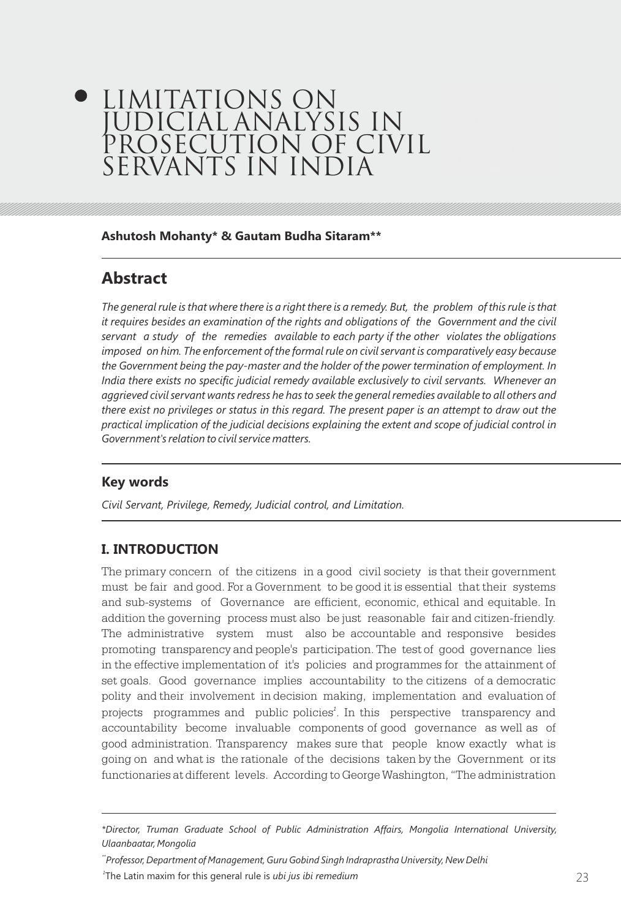# LIMITATIONS ON JUDICIAL ANALYSIS IN PROSECUTION OF CIVIL SERVANTS IN INDIA

**Ashutosh Mohanty\* & Gautam Budha Sitaram\*\***

# **Abstract**

*The general rule is that where there is a right there is a remedy. But, the problem of this rule is that it requires besides an examination of the rights and obligations of the Government and the civil servant a study of the remedies available to each party if the other violates the obligations*  imposed on him. The enforcement of the formal rule on civil servant is comparatively easy because *the Government being the pay-master and the holder of the power termination of employment. In India there exists no specific judicial remedy available exclusively to civil servants. Whenever an aggrieved civil servant wants redress he has to seek the general remedies available to all others and there exist no privileges or status in this regard. The present paper is an attempt to draw out the practical implication of the judicial decisions explaining the extent and scope of judicial control in Government's relation to civil service matters.*

# **Key words**

*Civil Servant, Privilege, Remedy, Judicial control, and Limitation.*

## **I. INTRODUCTION**

The primary concern of the citizens in a good civil society is that their government must be fair and good. For a Government to be good it is essential that their systems and sub-systems of Governance are efficient, economic, ethical and equitable. In addition the governing process must also be just reasonable fair and citizen-friendly. The administrative system must also be accountable and responsive besides promoting transparency and people's participation. The test of good governance lies in the effective implementation of it's policies and programmes for the attainment of set goals. Good governance implies accountability to the citizens of a democratic polity and their involvement in decision making, implementation and evaluation of projects programmes and public policies<sup>1</sup>. In this perspective transparency and accountability become invaluable components of good governance as well as of good administration. Transparency makes sure that people know exactly what is going on and what is the rationale of the decisions taken by the Government or its functionaries at different levels. According to George Washington, "The administration

*\*\*Professor, Department of Management, Guru Gobind Singh Indraprastha University, New Delhi*

22 23 *<sup>1</sup>*The Latin maxim for this general rule is *ubi jus ibi remedium*

*<sup>\*</sup>Director, Truman Graduate School of Public Administration Affairs, Mongolia International University, Ulaanbaatar, Mongolia*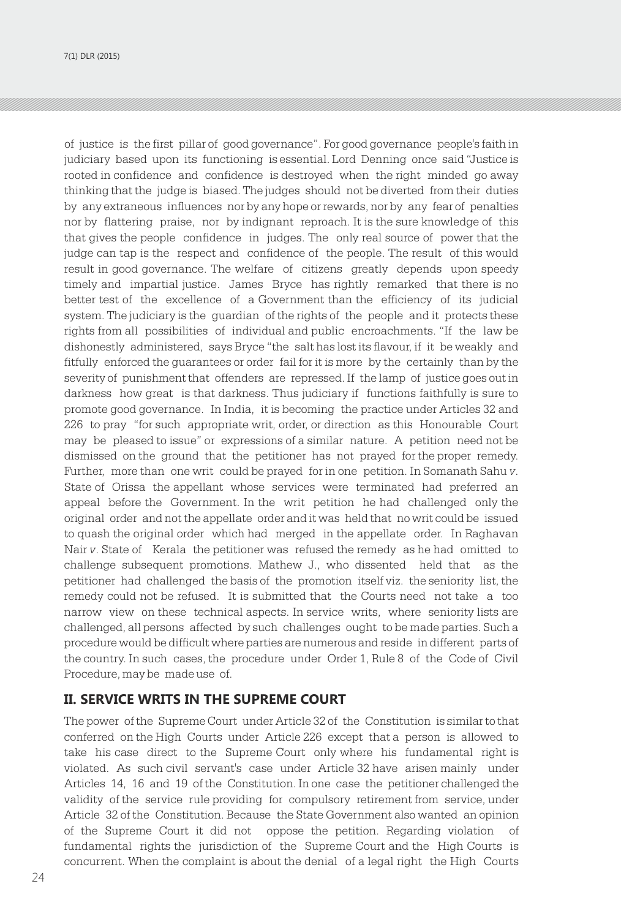7(1) DLR (2015)

of justice is the first pillar of good governance". For good governance people's faith in judiciary based upon its functioning is essential. Lord Denning once said "Justice is rooted in confidence and confidence is destroyed when the right minded go away thinking that the judge is biased. The judges should not be diverted from their duties by any extraneous influences nor by any hope or rewards, nor by any fear of penalties nor by flattering praise, nor by indignant reproach. It is the sure knowledge of this that gives the people confidence in judges. The only real source of power that the judge can tap is the respect and confidence of the people. The result of this would result in good governance. The welfare of citizens greatly depends upon speedy timely and impartial justice. James Bryce has rightly remarked that there is no better test of the excellence of a Government than the efficiency of its judicial system. The judiciary is the guardian of the rights of the people and it protects these rights from all possibilities of individual and public encroachments. "If the law be dishonestly administered, says Bryce "the salt has lost its flavour, if it be weakly and fitfully enforced the guarantees or order fail for it is more by the certainly than by the severity of punishment that offenders are repressed. If the lamp of justice goes out in darkness how great is that darkness. Thus judiciary if functions faithfully is sure to promote good governance. In India, it is becoming the practice under Articles 32 and 226 to pray "for such appropriate writ, order, or direction as this Honourable Court may be pleased to issue" or expressions of a similar nature. A petition need not be dismissed on the ground that the petitioner has not prayed for the proper remedy. Further, more than one writ could be prayed for in one petition. In Somanath Sahu *v*. State of Orissa the appellant whose services were terminated had preferred an appeal before the Government. In the writ petition he had challenged only the original order and not the appellate order and it was held that no writ could be issued to quash the original order which had merged in the appellate order. In Raghavan Nair *v*. State of Kerala the petitioner was refused the remedy as he had omitted to challenge subsequent promotions. Mathew J., who dissented held that as the petitioner had challenged the basis of the promotion itself viz. the seniority list, the remedy could not be refused. It is submitted that the Courts need not take a too narrow view on these technical aspects. In service writs, where seniority lists are challenged, all persons affected by such challenges ought to be made parties. Such a procedure would be difficult where parties are numerous and reside in different parts of the country. In such cases, the procedure under Order 1, Rule 8 of the Code of Civil Procedure, may be made use of.

## **II. SERVICE WRITS IN THE SUPREME COURT**

The power of the Supreme Court under Article 32 of the Constitution is similar to that conferred on the High Courts under Article 226 except that a person is allowed to take his case direct to the Supreme Court only where his fundamental right is violated. As such civil servant's case under Article 32 have arisen mainly under Articles 14, 16 and 19 of the Constitution. In one case the petitioner challenged the validity of the service rule providing for compulsory retirement from service, under Article 32 of the Constitution. Because the State Government also wanted an opinion of the Supreme Court it did not oppose the petition. Regarding violation of fundamental rights the jurisdiction of the Supreme Court and the High Courts is concurrent. When the complaint is about the denial of a legal right the High Courts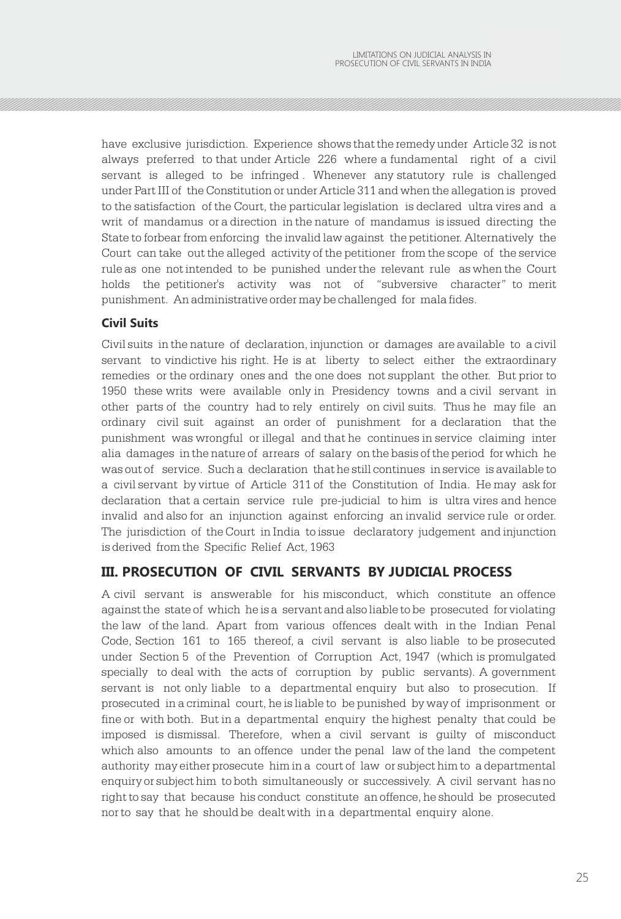have exclusive jurisdiction. Experience shows that the remedy under Article 32 is not always preferred to that under Article 226 where a fundamental right of a civil servant is alleged to be infringed . Whenever any statutory rule is challenged under Part III of the Constitution or under Article 311 and when the allegation is proved to the satisfaction of the Court, the particular legislation is declared ultra vires and a writ of mandamus or a direction in the nature of mandamus is issued directing the State to forbear from enforcing the invalid law against the petitioner. Alternatively the Court can take out the alleged activity of the petitioner from the scope of the service rule as one not intended to be punished under the relevant rule as when the Court holds the petitioner's activity was not of "subversive character" to merit punishment. An administrative order may be challenged for mala fides.

## **Civil Suits**

Civil suits in the nature of declaration, injunction or damages are available to a civil servant to vindictive his right. He is at liberty to select either the extraordinary remedies or the ordinary ones and the one does not supplant the other. But prior to 1950 these writs were available only in Presidency towns and a civil servant in other parts of the country had to rely entirely on civil suits. Thus he may file an ordinary civil suit against an order of punishment for a declaration that the punishment was wrongful or illegal and that he continues in service claiming inter alia damages in the nature of arrears of salary on the basis of the period for which he was out of service. Such a declaration that he still continues in service is available to a civil servant by virtue of Article 311 of the Constitution of India. He may ask for declaration that a certain service rule pre-judicial to him is ultra vires and hence invalid and also for an injunction against enforcing an invalid service rule or order. The jurisdiction of the Court in India to issue declaratory judgement and injunction is derived from the Specific Relief Act, 1963

## **III. PROSECUTION OF CIVIL SERVANTS BY JUDICIAL PROCESS**

A civil servant is answerable for his misconduct, which constitute an offence against the state of which he is a servant and also liable to be prosecuted for violating the law of the land. Apart from various offences dealt with in the Indian Penal Code, Section 161 to 165 thereof, a civil servant is also liable to be prosecuted under Section 5 of the Prevention of Corruption Act, 1947 (which is promulgated specially to deal with the acts of corruption by public servants). A government servant is not only liable to a departmental enquiry but also to prosecution. If prosecuted in a criminal court, he is liable to be punished by way of imprisonment or fine or with both. But in a departmental enquiry the highest penalty that could be imposed is dismissal. Therefore, when a civil servant is guilty of misconduct which also amounts to an offence under the penal law of the land the competent authority may either prosecute him in a court of law or subject him to a departmental enquiry or subject him to both simultaneously or successively. A civil servant has no right to say that because his conduct constitute an offence, he should be prosecuted nor to say that he should be dealt with in a departmental enquiry alone.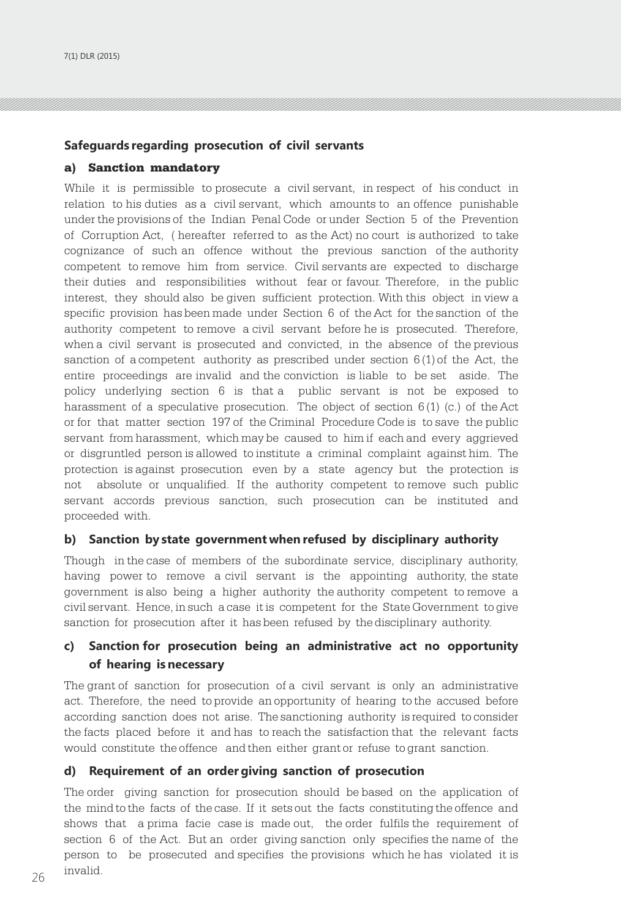#### **Safeguards regarding prosecution of civil servants**

#### a) Sanction mandatory

While it is permissible to prosecute a civil servant, in respect of his conduct in relation to his duties as a civil servant, which amounts to an offence punishable under the provisions of the Indian Penal Code or under Section 5 of the Prevention of Corruption Act, ( hereafter referred to as the Act) no court is authorized to take cognizance of such an offence without the previous sanction of the authority competent to remove him from service. Civil servants are expected to discharge their duties and responsibilities without fear or favour. Therefore, in the public interest, they should also be given sufficient protection. With this object in view a specific provision has been made under Section 6 of the Act for the sanction of the authority competent to remove a civil servant before he is prosecuted. Therefore, when a civil servant is prosecuted and convicted, in the absence of the previous sanction of a competent authority as prescribed under section  $6(1)$  of the Act, the entire proceedings are invalid and the conviction is liable to be set aside. The policy underlying section 6 is that a public servant is not be exposed to harassment of a speculative prosecution. The object of section  $6(1)$  (c.) of the Act or for that matter section 197 of the Criminal Procedure Code is to save the public servant from harassment, which may be caused to him if each and every aggrieved or disgruntled person is allowed to institute a criminal complaint against him. The protection is against prosecution even by a state agency but the protection is not absolute or unqualified. If the authority competent to remove such public servant accords previous sanction, such prosecution can be instituted and proceeded with.

#### **b) Sanction by state government when refused by disciplinary authority**

Though in the case of members of the subordinate service, disciplinary authority, having power to remove a civil servant is the appointing authority, the state government is also being a higher authority the authority competent to remove a civil servant. Hence, in such a case it is competent for the State Government to give sanction for prosecution after it has been refused by the disciplinary authority.

## **c) Sanction for prosecution being an administrative act no opportunity of hearing is necessary**

The grant of sanction for prosecution of a civil servant is only an administrative act. Therefore, the need to provide an opportunity of hearing to the accused before according sanction does not arise. The sanctioning authority is required to consider the facts placed before it and has to reach the satisfaction that the relevant facts would constitute the offence and then either grant or refuse to grant sanction.

#### **d) Requirement of an order giving sanction of prosecution**

 $26 \frac{1}{2}$  and  $27 \frac{1}{2}$  and  $27 \frac{1}{2}$  and  $27 \frac{1}{2}$  and  $27 \frac{1}{2}$  and  $27 \frac{1}{2}$  and  $27 \frac{1}{2}$  and  $27 \frac{1}{2}$  and  $27 \frac{1}{2}$  and  $27 \frac{1}{2}$  and  $27 \frac{1}{2}$  and  $27 \frac{1}{2}$  and  $27 \frac{1}{2}$  and  $27 \frac{1}{2}$  a The order giving sanction for prosecution should be based on the application of the mind to the facts of the case. If it sets out the facts constituting the offence and shows that a prima facie case is made out, the order fulfils the requirement of section 6 of the Act. But an order giving sanction only specifies the name of the person to be prosecuted and specifies the provisions which he has violated it is invalid.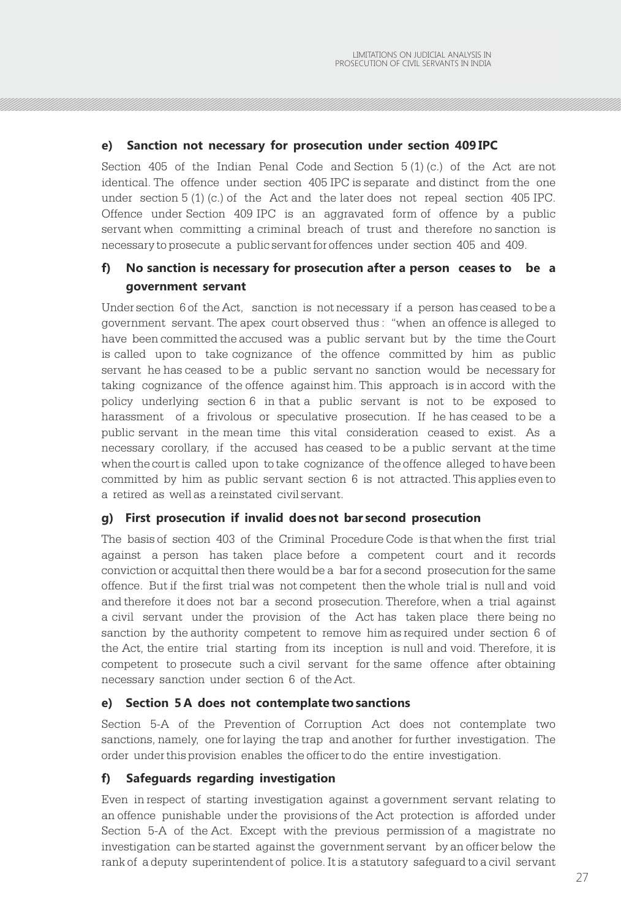#### **e) Sanction not necessary for prosecution under section 409 IPC**

Section 405 of the Indian Penal Code and Section  $5(1)(c)$  of the Act are not identical. The offence under section 405 IPC is separate and distinct from the one under section  $5(1)(c)$  of the Act and the later does not repeal section 405 IPC. Offence under Section 409 IPC is an aggravated form of offence by a public servant when committing a criminal breach of trust and therefore no sanction is necessary to prosecute a public servant for offences under section 405 and 409.

## **f) No sanction is necessary for prosecution after a person ceases to be a government servant**

Under section 6 of the Act, sanction is not necessary if a person has ceased to be a government servant. The apex court observed thus : "when an offence is alleged to have been committed the accused was a public servant but by the time the Court is called upon to take cognizance of the offence committed by him as public servant he has ceased to be a public servant no sanction would be necessary for taking cognizance of the offence against him. This approach is in accord with the policy underlying section 6 in that a public servant is not to be exposed to harassment of a frivolous or speculative prosecution. If he has ceased to be a public servant in the mean time this vital consideration ceased to exist. As a necessary corollary, if the accused has ceased to be a public servant at the time when the court is called upon to take cognizance of the offence alleged to have been committed by him as public servant section 6 is not attracted. This applies even to a retired as well as a reinstated civil servant.

#### **g) First prosecution if invalid does not bar second prosecution**

The basis of section 403 of the Criminal Procedure Code is that when the first trial against a person has taken place before a competent court and it records conviction or acquittal then there would be a bar for a second prosecution for the same offence. But if the first trial was not competent then the whole trial is null and void and therefore it does not bar a second prosecution. Therefore, when a trial against a civil servant under the provision of the Act has taken place there being no sanction by the authority competent to remove him as required under section 6 of the Act, the entire trial starting from its inception is null and void. Therefore, it is competent to prosecute such a civil servant for the same offence after obtaining necessary sanction under section 6 of the Act.

#### **e) Section 5 A does not contemplate two sanctions**

Section 5-A of the Prevention of Corruption Act does not contemplate two sanctions, namely, one for laying the trap and another for further investigation. The order under this provision enables the officer to do the entire investigation.

#### **f) Safeguards regarding investigation**

Even in respect of starting investigation against a government servant relating to an offence punishable under the provisions of the Act protection is afforded under Section 5-A of the Act. Except with the previous permission of a magistrate no investigation can be started against the government servant by an officer below the rank of a deputy superintendent of police. It is a statutory safeguard to a civil servant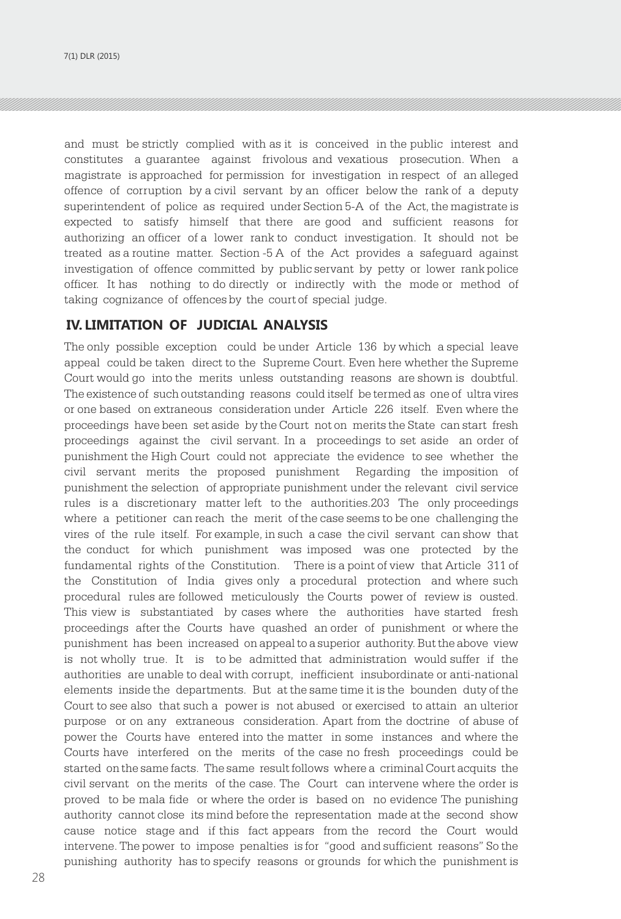and must be strictly complied with as it is conceived in the public interest and constitutes a guarantee against frivolous and vexatious prosecution. When a magistrate is approached for permission for investigation in respect of an alleged offence of corruption by a civil servant by an officer below the rank of a deputy superintendent of police as required under Section 5-A of the Act, the magistrate is expected to satisfy himself that there are good and sufficient reasons for authorizing an officer of a lower rank to conduct investigation. It should not be treated as a routine matter. Section -5 A of the Act provides a safeguard against investigation of offence committed by public servant by petty or lower rank police officer. It has nothing to do directly or indirectly with the mode or method of taking cognizance of offences by the court of special judge.

## **IV. LIMITATION OF JUDICIAL ANALYSIS**

The only possible exception could be under Article 136 by which a special leave appeal could be taken direct to the Supreme Court. Even here whether the Supreme Court would go into the merits unless outstanding reasons are shown is doubtful. The existence of such outstanding reasons could itself be termed as one of ultra vires or one based on extraneous consideration under Article 226 itself. Even where the proceedings have been set aside by the Court not on merits the State can start fresh proceedings against the civil servant. In a proceedings to set aside an order of punishment the High Court could not appreciate the evidence to see whether the civil servant merits the proposed punishment Regarding the imposition of punishment the selection of appropriate punishment under the relevant civil service rules is a discretionary matter left to the authorities.203 The only proceedings where a petitioner can reach the merit of the case seems to be one challenging the vires of the rule itself. For example, in such a case the civil servant can show that the conduct for which punishment was imposed was one protected by the fundamental rights of the Constitution. There is a point of view that Article 311 of the Constitution of India gives only a procedural protection and where such procedural rules are followed meticulously the Courts power of review is ousted. This view is substantiated by cases where the authorities have started fresh proceedings after the Courts have quashed an order of punishment or where the punishment has been increased on appeal to a superior authority. But the above view is not wholly true. It is to be admitted that administration would suffer if the authorities are unable to deal with corrupt, inefficient insubordinate or anti-national elements inside the departments. But at the same time it is the bounden duty of the Court to see also that such a power is not abused or exercised to attain an ulterior purpose or on any extraneous consideration. Apart from the doctrine of abuse of power the Courts have entered into the matter in some instances and where the Courts have interfered on the merits of the case no fresh proceedings could be started on the same facts. The same result follows where a criminal Court acquits the civil servant on the merits of the case. The Court can intervene where the order is proved to be mala fide or where the order is based on no evidence The punishing authority cannot close its mind before the representation made at the second show cause notice stage and if this fact appears from the record the Court would intervene. The power to impose penalties is for "good and sufficient reasons" So the punishing authority has to specify reasons or grounds for which the punishment is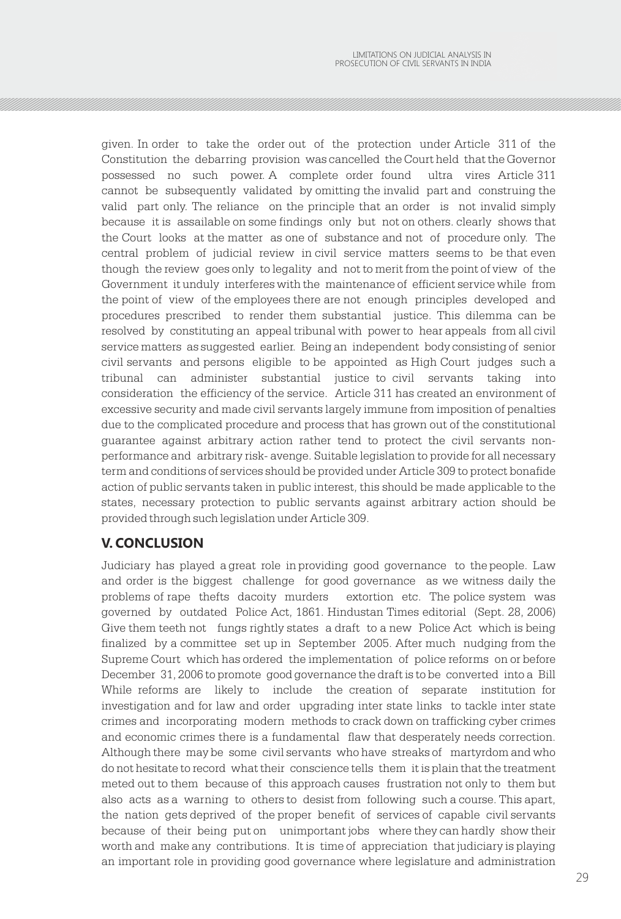given. In order to take the order out of the protection under Article 311 of the Constitution the debarring provision was cancelled the Court held that the Governor possessed no such power. A complete order found ultra vires Article 311 cannot be subsequently validated by omitting the invalid part and construing the valid part only. The reliance on the principle that an order is not invalid simply because it is assailable on some findings only but not on others. clearly shows that the Court looks at the matter as one of substance and not of procedure only. The central problem of judicial review in civil service matters seems to be that even though the review goes only to legality and not to merit from the point of view of the Government it unduly interferes with the maintenance of efficient service while from the point of view of the employees there are not enough principles developed and procedures prescribed to render them substantial justice. This dilemma can be resolved by constituting an appeal tribunal with power to hear appeals from all civil service matters as suggested earlier. Being an independent body consisting of senior civil servants and persons eligible to be appointed as High Court judges such a tribunal can administer substantial justice to civil servants taking into consideration the efficiency of the service. Article 311 has created an environment of excessive security and made civil servants largely immune from imposition of penalties due to the complicated procedure and process that has grown out of the constitutional guarantee against arbitrary action rather tend to protect the civil servants nonperformance and arbitrary risk- avenge. Suitable legislation to provide for all necessary term and conditions of services should be provided under Article 309 to protect bonafide action of public servants taken in public interest, this should be made applicable to the states, necessary protection to public servants against arbitrary action should be provided through such legislation under Article 309.

# **V. CONCLUSION**

Judiciary has played a great role in providing good governance to the people. Law and order is the biggest challenge for good governance as we witness daily the problems of rape thefts dacoity murders extortion etc. The police system was governed by outdated Police Act, 1861. Hindustan Times editorial (Sept. 28, 2006) Give them teeth not fungs rightly states a draft to a new Police Act which is being finalized by a committee set up in September 2005. After much nudging from the Supreme Court which has ordered the implementation of police reforms on or before December 31, 2006 to promote good governance the draft is to be converted into a Bill While reforms are likely to include the creation of separate institution for investigation and for law and order upgrading inter state links to tackle inter state crimes and incorporating modern methods to crack down on trafficking cyber crimes and economic crimes there is a fundamental flaw that desperately needs correction. Although there may be some civil servants who have streaks of martyrdom and who do not hesitate to record what their conscience tells them it is plain that the treatment meted out to them because of this approach causes frustration not only to them but also acts as a warning to others to desist from following such a course. This apart, the nation gets deprived of the proper benefit of services of capable civil servants because of their being put on unimportant jobs where they can hardly show their worth and make any contributions. It is time of appreciation that judiciary is playing an important role in providing good governance where legislature and administration